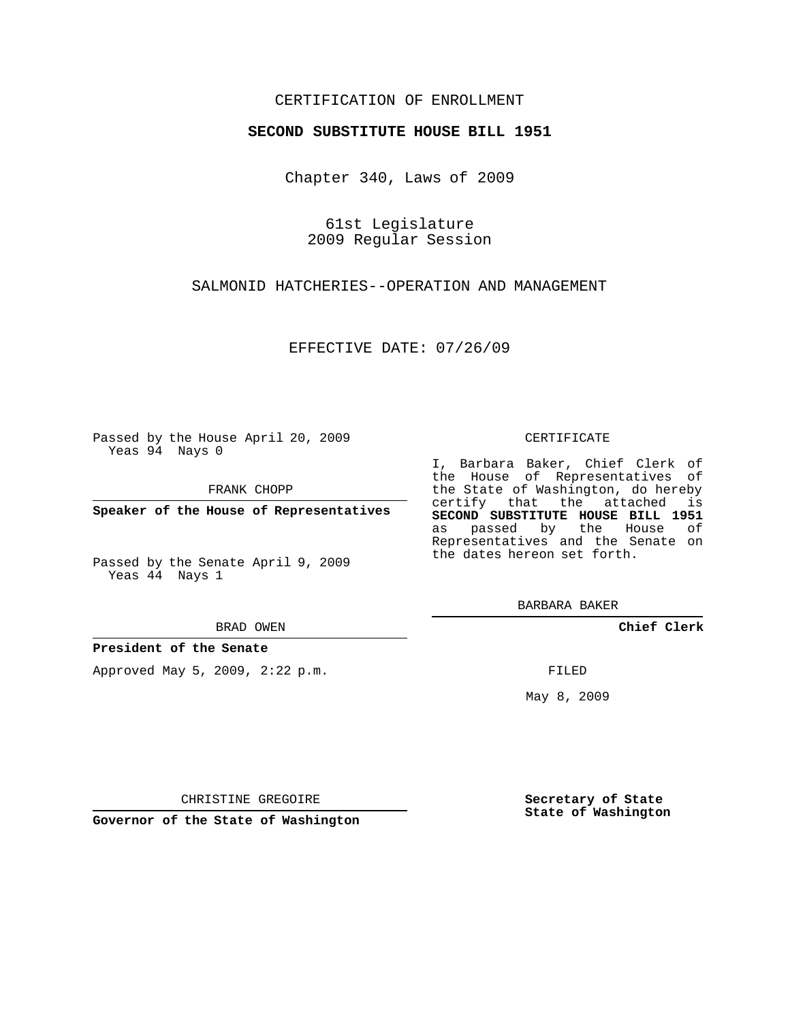## CERTIFICATION OF ENROLLMENT

### **SECOND SUBSTITUTE HOUSE BILL 1951**

Chapter 340, Laws of 2009

61st Legislature 2009 Regular Session

SALMONID HATCHERIES--OPERATION AND MANAGEMENT

EFFECTIVE DATE: 07/26/09

Passed by the House April 20, 2009 Yeas 94 Nays 0

FRANK CHOPP

**Speaker of the House of Representatives**

Passed by the Senate April 9, 2009 Yeas 44 Nays 1

BRAD OWEN

**President of the Senate**

Approved May 5, 2009, 2:22 p.m.

#### CERTIFICATE

I, Barbara Baker, Chief Clerk of the House of Representatives of the State of Washington, do hereby certify that the attached is **SECOND SUBSTITUTE HOUSE BILL 1951** as passed by the House of Representatives and the Senate on the dates hereon set forth.

BARBARA BAKER

**Chief Clerk**

FILED

May 8, 2009

**Secretary of State State of Washington**

CHRISTINE GREGOIRE

**Governor of the State of Washington**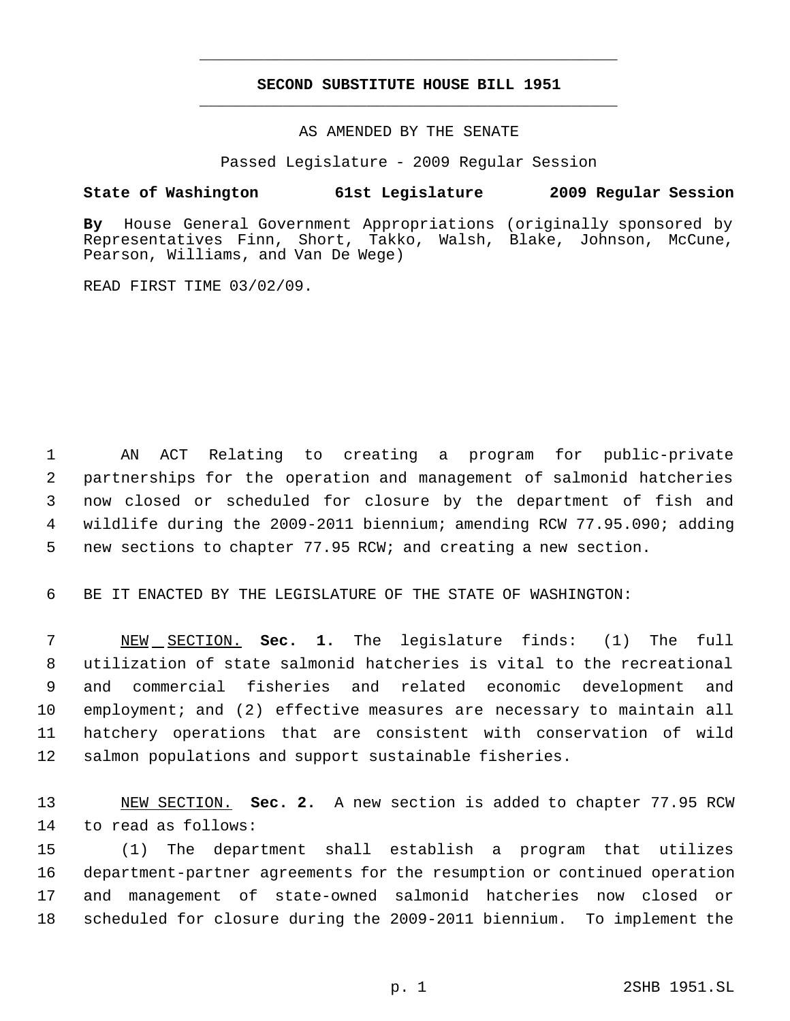# **SECOND SUBSTITUTE HOUSE BILL 1951** \_\_\_\_\_\_\_\_\_\_\_\_\_\_\_\_\_\_\_\_\_\_\_\_\_\_\_\_\_\_\_\_\_\_\_\_\_\_\_\_\_\_\_\_\_

\_\_\_\_\_\_\_\_\_\_\_\_\_\_\_\_\_\_\_\_\_\_\_\_\_\_\_\_\_\_\_\_\_\_\_\_\_\_\_\_\_\_\_\_\_

### AS AMENDED BY THE SENATE

Passed Legislature - 2009 Regular Session

## **State of Washington 61st Legislature 2009 Regular Session**

**By** House General Government Appropriations (originally sponsored by Representatives Finn, Short, Takko, Walsh, Blake, Johnson, McCune, Pearson, Williams, and Van De Wege)

READ FIRST TIME 03/02/09.

 AN ACT Relating to creating a program for public-private partnerships for the operation and management of salmonid hatcheries now closed or scheduled for closure by the department of fish and wildlife during the 2009-2011 biennium; amending RCW 77.95.090; adding new sections to chapter 77.95 RCW; and creating a new section.

BE IT ENACTED BY THE LEGISLATURE OF THE STATE OF WASHINGTON:

 NEW SECTION. **Sec. 1.** The legislature finds: (1) The full utilization of state salmonid hatcheries is vital to the recreational and commercial fisheries and related economic development and employment; and (2) effective measures are necessary to maintain all hatchery operations that are consistent with conservation of wild salmon populations and support sustainable fisheries.

 NEW SECTION. **Sec. 2.** A new section is added to chapter 77.95 RCW to read as follows:

 (1) The department shall establish a program that utilizes department-partner agreements for the resumption or continued operation and management of state-owned salmonid hatcheries now closed or scheduled for closure during the 2009-2011 biennium. To implement the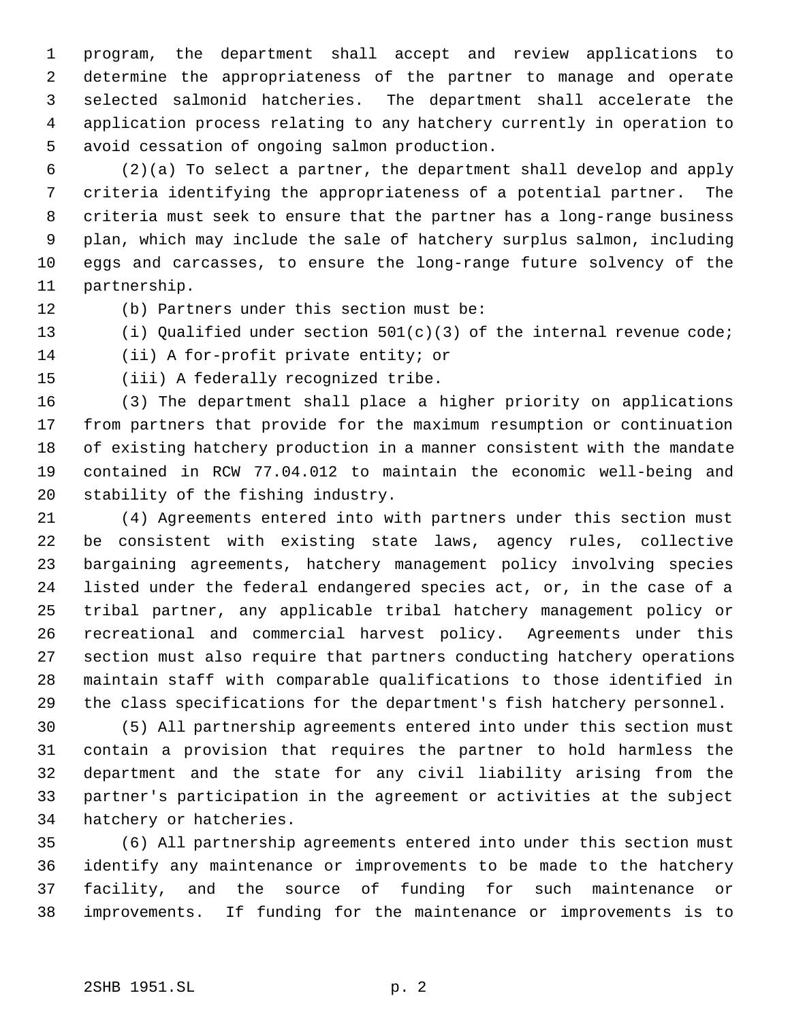program, the department shall accept and review applications to determine the appropriateness of the partner to manage and operate selected salmonid hatcheries. The department shall accelerate the application process relating to any hatchery currently in operation to avoid cessation of ongoing salmon production.

 (2)(a) To select a partner, the department shall develop and apply criteria identifying the appropriateness of a potential partner. The criteria must seek to ensure that the partner has a long-range business plan, which may include the sale of hatchery surplus salmon, including eggs and carcasses, to ensure the long-range future solvency of the partnership.

(b) Partners under this section must be:

(i) Qualified under section 501(c)(3) of the internal revenue code;

(ii) A for-profit private entity; or

(iii) A federally recognized tribe.

 (3) The department shall place a higher priority on applications from partners that provide for the maximum resumption or continuation of existing hatchery production in a manner consistent with the mandate contained in RCW 77.04.012 to maintain the economic well-being and stability of the fishing industry.

 (4) Agreements entered into with partners under this section must be consistent with existing state laws, agency rules, collective bargaining agreements, hatchery management policy involving species listed under the federal endangered species act, or, in the case of a tribal partner, any applicable tribal hatchery management policy or recreational and commercial harvest policy. Agreements under this section must also require that partners conducting hatchery operations maintain staff with comparable qualifications to those identified in the class specifications for the department's fish hatchery personnel.

 (5) All partnership agreements entered into under this section must contain a provision that requires the partner to hold harmless the department and the state for any civil liability arising from the partner's participation in the agreement or activities at the subject hatchery or hatcheries.

 (6) All partnership agreements entered into under this section must identify any maintenance or improvements to be made to the hatchery facility, and the source of funding for such maintenance or improvements. If funding for the maintenance or improvements is to